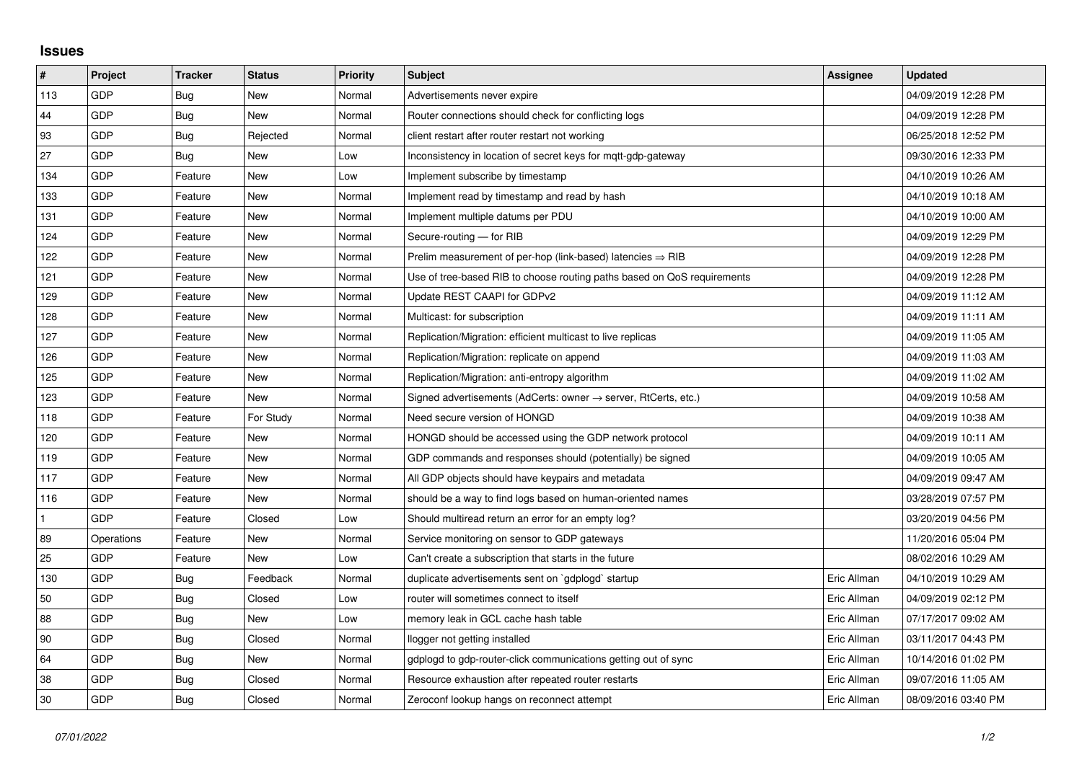## **Issues**

| #            | Project    | <b>Tracker</b> | <b>Status</b> | <b>Priority</b> | <b>Subject</b>                                                             | <b>Assignee</b> | <b>Updated</b>      |
|--------------|------------|----------------|---------------|-----------------|----------------------------------------------------------------------------|-----------------|---------------------|
| 113          | GDP        | Bug            | New           | Normal          | Advertisements never expire                                                |                 | 04/09/2019 12:28 PM |
| 44           | GDP        | <b>Bug</b>     | <b>New</b>    | Normal          | Router connections should check for conflicting logs                       |                 | 04/09/2019 12:28 PM |
| 93           | GDP        | Bug            | Rejected      | Normal          | client restart after router restart not working                            |                 | 06/25/2018 12:52 PM |
| 27           | GDP        | <b>Bug</b>     | New           | Low             | Inconsistency in location of secret keys for mgtt-gdp-gateway              |                 | 09/30/2016 12:33 PM |
| 134          | GDP        | Feature        | New           | Low             | Implement subscribe by timestamp                                           |                 | 04/10/2019 10:26 AM |
| 133          | GDP        | Feature        | New           | Normal          | Implement read by timestamp and read by hash                               |                 | 04/10/2019 10:18 AM |
| 131          | GDP        | Feature        | New           | Normal          | Implement multiple datums per PDU                                          |                 | 04/10/2019 10:00 AM |
| 124          | GDP        | Feature        | New           | Normal          | Secure-routing - for RIB                                                   |                 | 04/09/2019 12:29 PM |
| 122          | GDP        | Feature        | New           | Normal          | Prelim measurement of per-hop (link-based) latencies $\Rightarrow$ RIB     |                 | 04/09/2019 12:28 PM |
| 121          | GDP        | Feature        | <b>New</b>    | Normal          | Use of tree-based RIB to choose routing paths based on QoS requirements    |                 | 04/09/2019 12:28 PM |
| 129          | GDP        | Feature        | New           | Normal          | Update REST CAAPI for GDPv2                                                |                 | 04/09/2019 11:12 AM |
| 128          | GDP        | Feature        | New           | Normal          | Multicast: for subscription                                                |                 | 04/09/2019 11:11 AM |
| 127          | GDP        | Feature        | <b>New</b>    | Normal          | Replication/Migration: efficient multicast to live replicas                |                 | 04/09/2019 11:05 AM |
| 126          | GDP        | Feature        | New           | Normal          | Replication/Migration: replicate on append                                 |                 | 04/09/2019 11:03 AM |
| 125          | GDP        | Feature        | New           | Normal          | Replication/Migration: anti-entropy algorithm                              |                 | 04/09/2019 11:02 AM |
| 123          | GDP        | Feature        | New           | Normal          | Signed advertisements (AdCerts: owner $\rightarrow$ server, RtCerts, etc.) |                 | 04/09/2019 10:58 AM |
| 118          | GDP        | Feature        | For Study     | Normal          | Need secure version of HONGD                                               |                 | 04/09/2019 10:38 AM |
| 120          | GDP        | Feature        | New           | Normal          | HONGD should be accessed using the GDP network protocol                    |                 | 04/09/2019 10:11 AM |
| 119          | GDP        | Feature        | New           | Normal          | GDP commands and responses should (potentially) be signed                  |                 | 04/09/2019 10:05 AM |
| 117          | GDP        | Feature        | New           | Normal          | All GDP objects should have keypairs and metadata                          |                 | 04/09/2019 09:47 AM |
| 116          | GDP        | Feature        | New           | Normal          | should be a way to find logs based on human-oriented names                 |                 | 03/28/2019 07:57 PM |
| $\mathbf{1}$ | GDP        | Feature        | Closed        | Low             | Should multiread return an error for an empty log?                         |                 | 03/20/2019 04:56 PM |
| 89           | Operations | Feature        | New           | Normal          | Service monitoring on sensor to GDP gateways                               |                 | 11/20/2016 05:04 PM |
| 25           | GDP        | Feature        | New           | Low             | Can't create a subscription that starts in the future                      |                 | 08/02/2016 10:29 AM |
| 130          | GDP        | Bug            | Feedback      | Normal          | duplicate advertisements sent on `gdplogd` startup                         | Eric Allman     | 04/10/2019 10:29 AM |
| 50           | GDP        | Bug            | Closed        | Low             | router will sometimes connect to itself                                    | Eric Allman     | 04/09/2019 02:12 PM |
| 88           | GDP        | Bug            | New           | Low             | memory leak in GCL cache hash table                                        | Eric Allman     | 07/17/2017 09:02 AM |
| 90           | GDP        | <b>Bug</b>     | Closed        | Normal          | llogger not getting installed                                              | Eric Allman     | 03/11/2017 04:43 PM |
| 64           | GDP        | <b>Bug</b>     | New           | Normal          | gdplogd to gdp-router-click communications getting out of sync             | Eric Allman     | 10/14/2016 01:02 PM |
| 38           | GDP        | Bug            | Closed        | Normal          | Resource exhaustion after repeated router restarts                         | Eric Allman     | 09/07/2016 11:05 AM |
| 30           | GDP        | Bug            | Closed        | Normal          | Zeroconf lookup hangs on reconnect attempt                                 | Eric Allman     | 08/09/2016 03:40 PM |